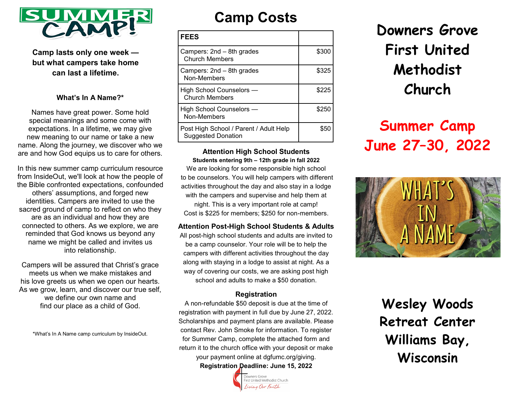

**Camp lasts only one week but what campers take home can last a lifetime.** 

#### **What's In A Name?\***

Names have great power. Some hold special meanings and some come with expectations. In a lifetime, we may give new meaning to our name or take a new name. Along the journey, we discover who we are and how God equips us to care for others.

In this new summer camp curriculum resource from InsideOut, we'll look at how the people of the Bible confronted expectations, confounded others' assumptions, and forged new identities. Campers are invited to use the sacred ground of camp to reflect on who they are as an individual and how they are connected to others. As we explore, we are reminded that God knows us beyond any name we might be called and invites us into relationship.

Campers will be assured that Christ's grace meets us when we make mistakes and his love greets us when we open our hearts. As we grow, learn, and discover our true self, we define our own name and find our place as a child of God.

\*What's In A Name camp curriculum by InsideOut.

## **Camp Costs**

| <b>FEES</b>                                                         |       |
|---------------------------------------------------------------------|-------|
| Campers: 2nd – 8th grades<br><b>Church Members</b>                  | \$300 |
| Campers: 2nd - 8th grades<br>Non-Members                            | \$325 |
| High School Counselors —<br><b>Church Members</b>                   | \$225 |
| High School Counselors —<br>Non-Members                             | \$250 |
| Post High School / Parent / Adult Help<br><b>Suggested Donation</b> | \$50  |

**Attention High School Students Students entering 9th – 12th grade in fall 2022**

We are looking for some responsible high school to be counselors. You will help campers with different activities throughout the day and also stay in a lodge with the campers and supervise and help them at night. This is a very important role at camp! Cost is \$225 for members; \$250 for non-members.

#### **Attention Post-High School Students & Adults**

All post-high school students and adults are invited to be a camp counselor. Your role will be to help the campers with different activities throughout the day along with staying in a lodge to assist at night. As a way of covering our costs, we are asking post high school and adults to make a \$50 donation.

#### **Registration**

A non-refundable \$50 deposit is due at the time of registration with payment in full due by June 27, 2022. Scholarships and payment plans are available. Please contact Rev. John Smoke for information. To register for Summer Camp, complete the attached form and return it to the church office with your deposit or make your payment online at dgfumc.org/giving. **Registration Deadline: June 15, 2022**

**Downers Grove First United Methodist Church**

# **Summer Camp June 27–30, 2022**



**Wesley Woods Retreat Center Williams Bay, Wisconsin**